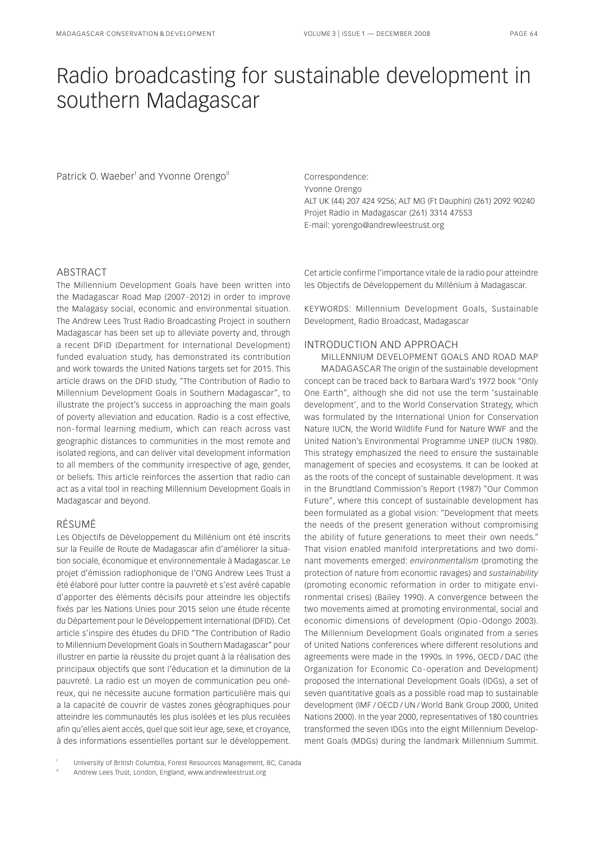# Radio broadcasting for sustainable development in

Patrick O. Waeber' and Yvonne Orengo" and the Correspondence:

southern Madagascar

Yvonne Orengo ALT UK (44) 207 424 9256; ALT MG (Ft Dauphin) (261) 2092 90240 Projet Radio in Madagascar (261) 3314 47553 E-mail: yorengo@andrewleestrust.org

## ABSTRACT

The Millennium Development Goals have been written into the Madagascar Road Map (2007 - 2012) in order to improve the Malagasy social, economic and environmental situation. The Andrew Lees Trust Radio Broadcasting Project in southern Madagascar has been set up to alleviate poverty and, through a recent DFID (Department for International Development) funded evaluation study, has demonstrated its contribution and work towards the United Nations targets set for 2015. This article draws on the DFID study, "The Contribution of Radio to Millennium Development Goals in Southern Madagascar", to illustrate the project's success in approaching the main goals of poverty alleviation and education. Radio is a cost effective, non - formal learning medium, which can reach across vast geographic distances to communities in the most remote and isolated regions, and can deliver vital development information to all members of the community irrespective of age, gender, or beliefs. This article reinforces the assertion that radio can act as a vital tool in reaching Millennium Development Goals in Madagascar and beyond.

## RÉSUMÉ

Les Objectifs de Développement du Millénium ont été inscrits sur la Feuille de Route de Madagascar afin d'améliorer la situation sociale, économique et environnementale à Madagascar. Le projet d'émission radiophonique de l'ONG Andrew Lees Trust a été élaboré pour lutter contre la pauvreté et s'est avéré capable d'apporter des éléments décisifs pour atteindre les objectifs fixés par les Nations Unies pour 2015 selon une étude récente du Département pour le Développement International (DFID). Cet article s'inspire des études du DFID "The Contribution of Radio to Millennium Development Goals in Southern Madagascar" pour illustrer en partie la réussite du projet quant à la réalisation des principaux objectifs que sont l'éducation et la diminution de la pauvreté. La radio est un moyen de communication peu onéreux, qui ne nécessite aucune formation particulière mais qui a la capacité de couvrir de vastes zones géographiques pour atteindre les communautés les plus isolées et les plus reculées afin qu'elles aient accès, quel que soit leur age, sexe, et croyance, à des informations essentielles portant sur le développement.

University of British Columbia, Forest Resources Management, BC, Canada

Cet article confirme l'importance vitale de la radio pour atteindre les Objectifs de Développement du Millénium à Madagascar.

KEYWORDS: Millennium Development Goals, Sustainable Development, Radio Broadcast, Madagascar

### INTRODUCTION AND APPROACH

MILLENNIUM DEVELOPMENT GOALS AND ROAD MAP MADAGASCAR The origin of the sustainable development concept can be traced back to Barbara Ward's 1972 book "Only One Earth", although she did not use the term 'sustainable development', and to the World Conservation Strategy, which was formulated by the International Union for Conservation Nature IUCN, the World Wildlife Fund for Nature WWF and the United Nation's Environmental Programme UNEP (IUCN 1980). This strategy emphasized the need to ensure the sustainable management of species and ecosystems. It can be looked at as the roots of the concept of sustainable development. It was in the Brundtland Commission's Report (1987) "Our Common Future", where this concept of sustainable development has been formulated as a global vision: "Development that meets the needs of the present generation without compromising the ability of future generations to meet their own needs." That vision enabled manifold interpretations and two dominant movements emerged: *environmentalism* (promoting the protection of nature from economic ravages) and *sustainability* (promoting economic reformation in order to mitigate environmental crises) (Bailey 1990). A convergence between the two movements aimed at promoting environmental, social and economic dimensions of development (Opio - Odongo 2003). The Millennium Development Goals originated from a series of United Nations conferences where different resolutions and agreements were made in the 1990s. In 1996, OECD / DAC (the Organization for Economic Co - operation and Development) proposed the International Development Goals (IDGs), a set of seven quantitative goals as a possible road map to sustainable development (IMF / OECD / UN / World Bank Group 2000, United Nations 2000). In the year 2000, representatives of 180 countries transformed the seven IDGs into the eight Millennium Development Goals (MDGs) during the landmark Millennium Summit.

Andrew Lees Trust, London, England, <www.andrewleestrust.org>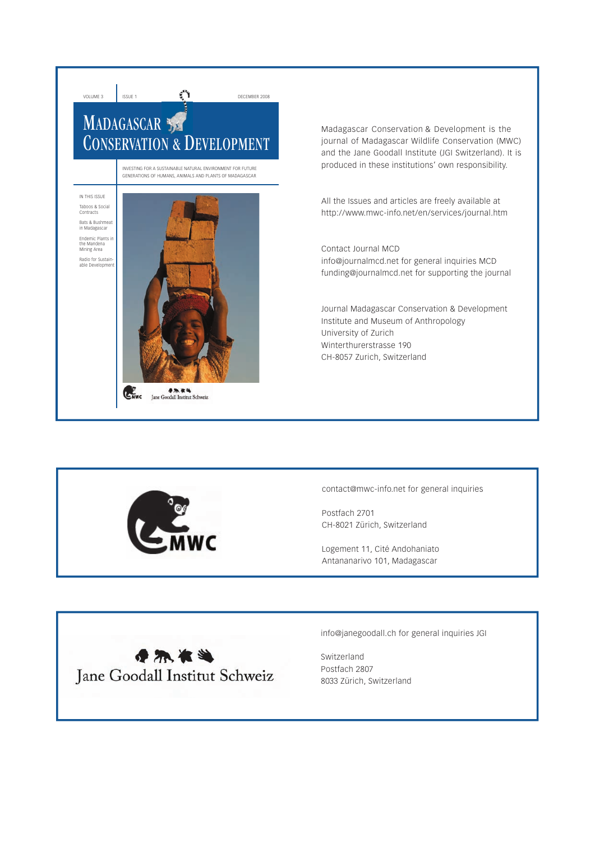

Madagascar Conservation & Development is the journal of Madagascar Wildlife Conservation (MWC) and the Jane Goodall Institute (JGI Switzerland). It is produced in these institutions' own responsibility.

All the Issues and articles are freely available at http://www.mwc-info.net/en/services/journal.htm

Contact Journal MCD info@journalmcd.net for general inquiries MCD funding@journalmcd.net for supporting the journal

Journal Madagascar Conservation & Development Institute and Museum of Anthropology University of Zurich Winterthurerstrasse 190 CH-8057 Zurich, Switzerland



contact@mwc-info.net for general inquiries

Postfach 2701 CH-8021 Zürich, Switzerland

Logement 11, Cité Andohaniato Antananarivo 101, Madagascar



info@janegoodall.ch for general inquiries JGI

Switzerland Postfach 2807 8033 Zürich, Switzerland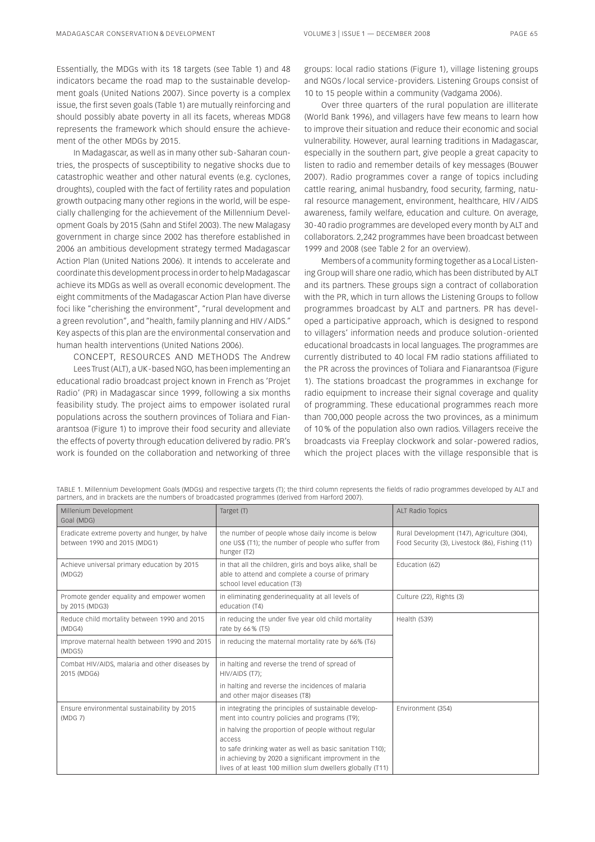Essentially, the MDGs with its 18 targets (see Table 1) and 48 indicators became the road map to the sustainable development goals (United Nations 2007). Since poverty is a complex issue, the first seven goals (Table 1) are mutually reinforcing and should possibly abate poverty in all its facets, whereas MDG8 represents the framework which should ensure the achievement of the other MDGs by 2015.

In Madagascar, as well as in many other sub - Saharan countries, the prospects of susceptibility to negative shocks due to catastrophic weather and other natural events (e.g. cyclones, droughts), coupled with the fact of fertility rates and population growth outpacing many other regions in the world, will be especially challenging for the achievement of the Millennium Development Goals by 2015 (Sahn and Stifel 2003). The new Malagasy government in charge since 2002 has therefore established in 2006 an ambitious development strategy termed Madagascar Action Plan (United Nations 2006). It intends to accelerate and coordinate this development process in order to help Madagascar achieve its MDGs as well as overall economic development. The eight commitments of the Madagascar Action Plan have diverse foci like "cherishing the environment", "rural development and a green revolution", and "health, family planning and HIV / AIDS." Key aspects of this plan are the environmental conservation and human health interventions (United Nations 2006).

CONCEPT, RESOURCES AND METHODS The Andrew Lees Trust (ALT), a UK - based NGO, has been implementing an educational radio broadcast project known in French as 'Projet Radio' (PR) in Madagascar since 1999, following a six months feasibility study. The project aims to empower isolated rural populations across the southern provinces of Toliara and Fianarantsoa (Figure 1) to improve their food security and alleviate the effects of poverty through education delivered by radio. PR's work is founded on the collaboration and networking of three

groups: local radio stations (Figure 1), village listening groups and NGOs / local service - providers. Listening Groups consist of 10 to 15 people within a community (Vadgama 2006).

Over three quarters of the rural population are illiterate (World Bank 1996), and villagers have few means to learn how to improve their situation and reduce their economic and social vulnerability. However, aural learning traditions in Madagascar, especially in the southern part, give people a great capacity to listen to radio and remember details of key messages (Bouwer 2007). Radio programmes cover a range of topics including cattle rearing, animal husbandry, food security, farming, natural resource management, environment, healthcare, HIV / AIDS awareness, family welfare, education and culture. On average, 30 - 40 radio programmes are developed every month by ALT and collaborators. 2,242 programmes have been broadcast between 1999 and 2008 (see Table 2 for an overview).

Members of a community forming together as a Local Listening Group will share one radio, which has been distributed by ALT and its partners. These groups sign a contract of collaboration with the PR, which in turn allows the Listening Groups to follow programmes broadcast by ALT and partners. PR has developed a participative approach, which is designed to respond to villagers' information needs and produce solution - oriented educational broadcasts in local languages. The programmes are currently distributed to 40 local FM radio stations affiliated to the PR across the provinces of Toliara and Fianarantsoa (Figure 1). The stations broadcast the programmes in exchange for radio equipment to increase their signal coverage and quality of programming. These educational programmes reach more than 700,000 people across the two provinces, as a minimum of 10 % of the population also own radios. Villagers receive the broadcasts via Freeplay clockwork and solar - powered radios, which the project places with the village responsible that is

| TABLE 1. Millennium Development Goals (MDGs) and respective targets (T); the third column represents the fields of radio programmes developed by ALT and |  |  |  |  |
|----------------------------------------------------------------------------------------------------------------------------------------------------------|--|--|--|--|
| partners, and in brackets are the numbers of broadcasted programmes (derived from Harford 2007).                                                         |  |  |  |  |

| Millenium Development<br>Goal (MDG)                                            | Target (T)                                                                                                                                                                                                                                      | <b>ALT Radio Topics</b>                                                                        |
|--------------------------------------------------------------------------------|-------------------------------------------------------------------------------------------------------------------------------------------------------------------------------------------------------------------------------------------------|------------------------------------------------------------------------------------------------|
| Eradicate extreme poverty and hunger, by halve<br>between 1990 and 2015 (MDG1) | the number of people whose daily income is below<br>one US\$ (T1); the number of people who suffer from<br>hunger (T2)                                                                                                                          | Rural Development (147), Agriculture (304),<br>Food Security (3), Livestock (86), Fishing (11) |
| Achieve universal primary education by 2015<br>(MDG2)                          | in that all the children, girls and boys alike, shall be<br>able to attend and complete a course of primary<br>school level education (T3)                                                                                                      | Education (62)                                                                                 |
| Promote gender equality and empower women<br>by 2015 (MDG3)                    | in eliminating genderinequality at all levels of<br>education (T4)                                                                                                                                                                              | Culture (22), Rights (3)                                                                       |
| Reduce child mortality between 1990 and 2015<br>(MDG4)                         | in reducing the under five year old child mortality<br>rate by 66 % (T5)                                                                                                                                                                        | Health (539)                                                                                   |
| Improve maternal health between 1990 and 2015<br>(MDG5)                        | in reducing the maternal mortality rate by 66% (T6)                                                                                                                                                                                             |                                                                                                |
| Combat HIV/AIDS, malaria and other diseases by<br>2015 (MDG6)                  | in halting and reverse the trend of spread of<br>HIV/AIDS (T7):                                                                                                                                                                                 |                                                                                                |
|                                                                                | in halting and reverse the incidences of malaria<br>and other major diseases (T8)                                                                                                                                                               |                                                                                                |
| Ensure environmental sustainability by 2015<br>(MDG 7)                         | in integrating the principles of sustainable develop-<br>ment into country policies and programs (T9);                                                                                                                                          | Environment (354)                                                                              |
|                                                                                | in halving the proportion of people without regular<br>access<br>to safe drinking water as well as basic sanitation T10);<br>in achieving by 2020 a significant improvment in the<br>lives of at least 100 million slum dwellers globally (T11) |                                                                                                |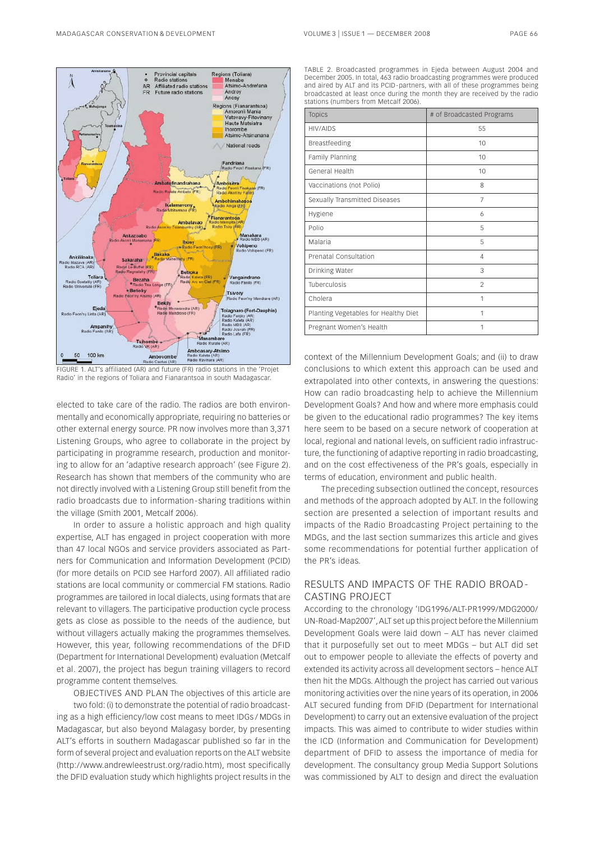

FIGURE 1. ALT's affiliated (AR) and future (FR) radio stations in the 'Projet Radio' in the regions of Toliara and Fianarantsoa in south Madagascar.

elected to take care of the radio. The radios are both environmentally and economically appropriate, requiring no batteries or other external energy source. PR now involves more than 3,371 Listening Groups, who agree to collaborate in the project by participating in programme research, production and monitoring to allow for an 'adaptive research approach' (see Figure 2). Research has shown that members of the community who are not directly involved with a Listening Group still benefit from the radio broadcasts due to information - sharing traditions within the village (Smith 2001, Metcalf 2006).

In order to assure a holistic approach and high quality expertise, ALT has engaged in project cooperation with more than 47 local NGOs and service providers associated as Partners for Communication and Information Development (PCID) (for more details on PCID see Harford 2007). All affiliated radio stations are local community or commercial FM stations. Radio programmes are tailored in local dialects, using formats that are relevant to villagers. The participative production cycle process gets as close as possible to the needs of the audience, but without villagers actually making the programmes themselves. However, this year, following recommendations of the DFID (Department for International Development) evaluation (Metcalf et al. 2007), the project has begun training villagers to record programme content themselves.

OBJECTIVES AND PLAN The objectives of this article are two fold: (i) to demonstrate the potential of radio broadcasting as a high efficiency/low cost means to meet IDGs / MDGs in Madagascar, but also beyond Malagasy border, by presenting ALT's efforts in southern Madagascar published so far in the form of several project and evaluation reports on the ALT website ([http://www.andrewleestrust.org/radio.htm\)](http://www.andrewleestrust.org/radio.htm), most specifically the DFID evaluation study which highlights project results in the

TABLE 2. Broadcasted programmes in Ejeda between August 2004 and December 2005. In total, 463 radio broadcasting programmes were produced and aired by ALT and its PCID-partners, with all of these programmes being broadcasted at least once during the month they are received by the radio stations (numbers from Metcalf 2006).

| <b>Topics</b>                        | # of Broadcasted Programs |
|--------------------------------------|---------------------------|
| HIV/AIDS                             | 55                        |
| Breastfeeding                        | 10                        |
| Family Planning                      | 10                        |
| General Health                       | 10                        |
| Vaccinations (not Polio)             | 8                         |
| Sexually Transmitted Diseases        | $\overline{7}$            |
| Hygiene                              | 6                         |
| Polio                                | 5                         |
| Malaria                              | 5                         |
| Prenatal Consultation                | $\overline{4}$            |
| Drinking Water                       | 3                         |
| Tuberculosis                         | $\mathfrak{D}$            |
| Cholera                              | 1                         |
| Planting Vegetables for Healthy Diet | 1                         |
| Pregnant Women's Health              | 1                         |

context of the Millennium Development Goals; and (ii) to draw conclusions to which extent this approach can be used and extrapolated into other contexts, in answering the questions: How can radio broadcasting help to achieve the Millennium Development Goals? And how and where more emphasis could be given to the educational radio programmes? The key items here seem to be based on a secure network of cooperation at local, regional and national levels, on sufficient radio infrastructure, the functioning of adaptive reporting in radio broadcasting, and on the cost effectiveness of the PR's goals, especially in terms of education, environment and public health.

The preceding subsection outlined the concept, resources and methods of the approach adopted by ALT. In the following section are presented a selection of important results and impacts of the Radio Broadcasting Project pertaining to the MDGs, and the last section summarizes this article and gives some recommendations for potential further application of the PR's ideas.

## RESULTS AND IMPACTS OF THE RADIO BROAD - CASTING PROJECT

According to the chronology 'IDG1996/ALT-PR1999/MDG2000/ UN-Road-Map2007', ALT set up this project before the Millennium Development Goals were laid down – ALT has never claimed that it purposefully set out to meet MDGs – but ALT did set out to empower people to alleviate the effects of poverty and extended its activity across all development sectors – hence ALT then hit the MDGs. Although the project has carried out various monitoring activities over the nine years of its operation, in 2006 ALT secured funding from DFID (Department for International Development) to carry out an extensive evaluation of the project impacts. This was aimed to contribute to wider studies within the ICD (Information and Communication for Development) department of DFID to assess the importance of media for development. The consultancy group Media Support Solutions was commissioned by ALT to design and direct the evaluation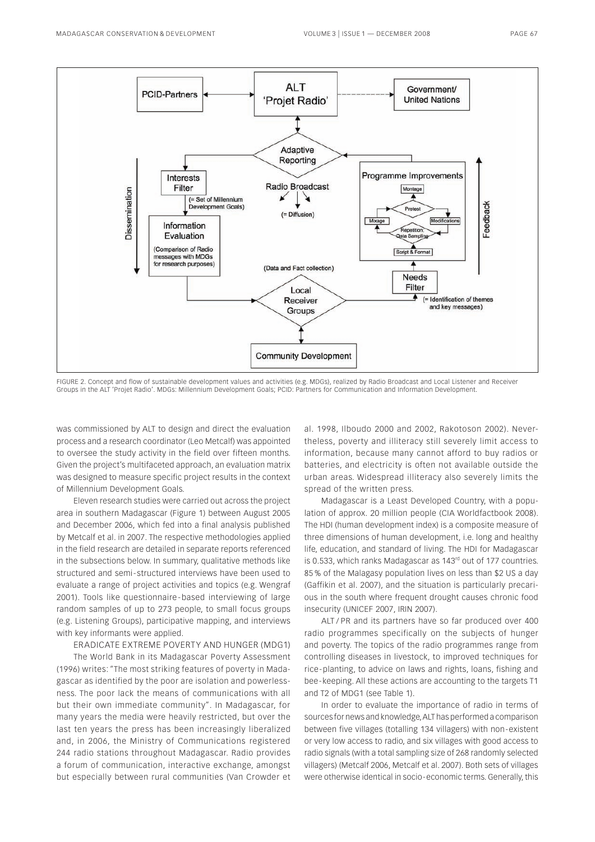

FIGURE 2. Concept and flow of sustainable development values and activities (e.g. MDGs), realized by Radio Broadcast and Local Listener and Receiver Groups in the ALT 'Projet Radio'. MDGs: Millennium Development Goals; PCID: Partners for Communication and Information Development.

was commissioned by ALT to design and direct the evaluation process and a research coordinator (Leo Metcalf) was appointed to oversee the study activity in the field over fifteen months. Given the project's multifaceted approach, an evaluation matrix was designed to measure specific project results in the context of Millennium Development Goals.

Eleven research studies were carried out across the project area in southern Madagascar (Figure 1) between August 2005 and December 2006, which fed into a final analysis published by Metcalf et al. in 2007. The respective methodologies applied in the field research are detailed in separate reports referenced in the subsections below. In summary, qualitative methods like structured and semi-structured interviews have been used to evaluate a range of project activities and topics (e.g. Wengraf 2001). Tools like questionnaire - based interviewing of large random samples of up to 273 people, to small focus groups (e.g. Listening Groups), participative mapping, and interviews with key informants were applied.

ERADICATE EXTREME POVERTY AND HUNGER (MDG1)

The World Bank in its Madagascar Poverty Assessment (1996) writes: "The most striking features of poverty in Madagascar as identified by the poor are isolation and powerlessness. The poor lack the means of communications with all but their own immediate community". In Madagascar, for many years the media were heavily restricted, but over the last ten years the press has been increasingly liberalized and, in 2006, the Ministry of Communications registered 244 radio stations throughout Madagascar. Radio provides a forum of communication, interactive exchange, amongst but especially between rural communities (Van Crowder et

al. 1998, Ilboudo 2000 and 2002, Rakotoson 2002). Nevertheless, poverty and illiteracy still severely limit access to information, because many cannot afford to buy radios or batteries, and electricity is often not available outside the urban areas. Widespread illiteracy also severely limits the spread of the written press.

Madagascar is a Least Developed Country, with a population of approx. 20 million people (CIA Worldfactbook 2008). The HDI (human development index) is a composite measure of three dimensions of human development, i.e. long and healthy life, education, and standard of living. The HDI for Madagascar is 0.533, which ranks Madagascar as  $143<sup>rd</sup>$  out of 177 countries. 85 % of the Malagasy population lives on less than \$2 US a day (Gaffikin et al. 2007), and the situation is particularly precarious in the south where frequent drought causes chronic food insecurity (UNICEF 2007, IRIN 2007).

ALT / PR and its partners have so far produced over 400 radio programmes specifically on the subjects of hunger and poverty. The topics of the radio programmes range from controlling diseases in livestock, to improved techniques for rice - planting, to advice on laws and rights, loans, fishing and bee - keeping. All these actions are accounting to the targets T1 and T2 of MDG1 (see Table 1).

In order to evaluate the importance of radio in terms of sources for news and knowledge, ALT has performed a comparison between five villages (totalling 134 villagers) with non - existent or very low access to radio, and six villages with good access to radio signals (with a total sampling size of 268 randomly selected villagers) (Metcalf 2006, Metcalf et al. 2007). Both sets of villages were otherwise identical in socio - economic terms. Generally, this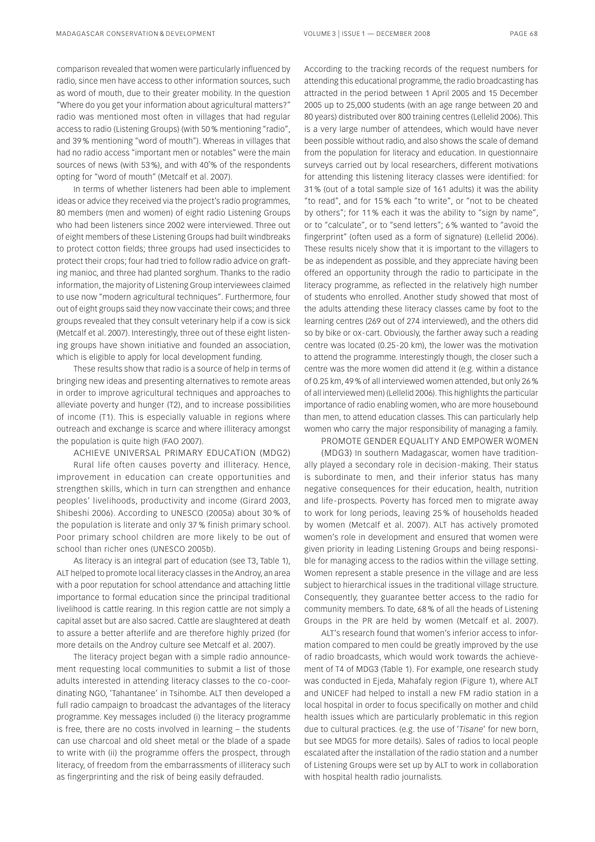comparison revealed that women were particularly influenced by radio, since men have access to other information sources, such as word of mouth, due to their greater mobility. In the question "Where do you get your information about agricultural matters?" radio was mentioned most often in villages that had regular access to radio (Listening Groups) (with 50 % mentioning "radio", and 39 % mentioning "word of mouth"). Whereas in villages that had no radio access "important men or notables" were the main sources of news (with 53 %), and with 40˚% of the respondents opting for "word of mouth" (Metcalf et al. 2007).

In terms of whether listeners had been able to implement ideas or advice they received via the project's radio programmes, 80 members (men and women) of eight radio Listening Groups who had been listeners since 2002 were interviewed. Three out of eight members of these Listening Groups had built windbreaks to protect cotton fields; three groups had used insecticides to protect their crops; four had tried to follow radio advice on grafting manioc, and three had planted sorghum. Thanks to the radio information, the majority of Listening Group interviewees claimed to use now "modern agricultural techniques". Furthermore, four out of eight groups said they now vaccinate their cows; and three groups revealed that they consult veterinary help if a cow is sick (Metcalf et al. 2007). Interestingly, three out of these eight listening groups have shown initiative and founded an association, which is eligible to apply for local development funding.

These results show that radio is a source of help in terms of bringing new ideas and presenting alternatives to remote areas in order to improve agricultural techniques and approaches to alleviate poverty and hunger (T2), and to increase possibilities of income (T1). This is especially valuable in regions where outreach and exchange is scarce and where illiteracy amongst the population is quite high (FAO 2007).

ACHIEVE UNIVERSAL PRIMARY EDUCATION (MDG2)

Rural life often causes poverty and illiteracy. Hence, improvement in education can create opportunities and strengthen skills, which in turn can strengthen and enhance peoples' livelihoods, productivity and income (Girard 2003, Shibeshi 2006). According to UNESCO (2005a) about 30 % of the population is literate and only 37 % finish primary school. Poor primary school children are more likely to be out of school than richer ones (UNESCO 2005b).

As literacy is an integral part of education (see T3, Table 1), ALT helped to promote local literacy classes in the Androy, an area with a poor reputation for school attendance and attaching little importance to formal education since the principal traditional livelihood is cattle rearing. In this region cattle are not simply a capital asset but are also sacred. Cattle are slaughtered at death to assure a better afterlife and are therefore highly prized (for more details on the Androy culture see Metcalf et al. 2007).

The literacy project began with a simple radio announcement requesting local communities to submit a list of those adults interested in attending literacy classes to the co - coordinating NGO, 'Tahantanee' in Tsihombe. ALT then developed a full radio campaign to broadcast the advantages of the literacy programme. Key messages included (i) the literacy programme is free, there are no costs involved in learning – the students can use charcoal and old sheet metal or the blade of a spade to write with (ii) the programme offers the prospect, through literacy, of freedom from the embarrassments of illiteracy such as fingerprinting and the risk of being easily defrauded.

According to the tracking records of the request numbers for attending this educational programme, the radio broadcasting has attracted in the period between 1 April 2005 and 15 December 2005 up to 25,000 students (with an age range between 20 and 80 years) distributed over 800 training centres (Lellelid 2006). This is a very large number of attendees, which would have never been possible without radio, and also shows the scale of demand from the population for literacy and education. In questionnaire surveys carried out by local researchers, different motivations for attending this listening literacy classes were identified: for 31 % (out of a total sample size of 161 adults) it was the ability "to read", and for 15 % each "to write", or "not to be cheated by others"; for 11 % each it was the ability to "sign by name", or to "calculate", or to "send letters"; 6 % wanted to "avoid the fingerprint" (often used as a form of signature) (Lellelid 2006). These results nicely show that it is important to the villagers to be as independent as possible, and they appreciate having been offered an opportunity through the radio to participate in the literacy programme, as reflected in the relatively high number of students who enrolled. Another study showed that most of the adults attending these literacy classes came by foot to the learning centres (269 out of 274 interviewed), and the others did so by bike or ox-cart. Obviously, the farther away such a reading centre was located (0.25-20 km), the lower was the motivation to attend the programme. Interestingly though, the closer such a centre was the more women did attend it (e.g. within a distance of 0.25 km, 49 % of all interviewed women attended, but only 26 % of all interviewed men) (Lellelid 2006). This highlights the particular importance of radio enabling women, who are more housebound than men, to attend education classes. This can particularly help women who carry the major responsibility of managing a family.

## PROMOTE GENDER EQUALITY AND EMPOWER WOMEN

(MDG3) In southern Madagascar, women have traditionally played a secondary role in decision - making. Their status is subordinate to men, and their inferior status has many negative consequences for their education, health, nutrition and life - prospects. Poverty has forced men to migrate away to work for long periods, leaving 25 % of households headed by women (Metcalf et al. 2007). ALT has actively promoted women's role in development and ensured that women were given priority in leading Listening Groups and being responsible for managing access to the radios within the village setting. Women represent a stable presence in the village and are less subject to hierarchical issues in the traditional village structure. Consequently, they guarantee better access to the radio for community members. To date, 68 % of all the heads of Listening Groups in the PR are held by women (Metcalf et al. 2007).

ALT's research found that women's inferior access to information compared to men could be greatly improved by the use of radio broadcasts, which would work towards the achievement of T4 of MDG3 (Table 1). For example, one research study was conducted in Ejeda, Mahafaly region (Figure 1), where ALT and UNICEF had helped to install a new FM radio station in a local hospital in order to focus specifically on mother and child health issues which are particularly problematic in this region due to cultural practices. (e.g. the use of '*Tisane*' for new born, but see MDG5 for more details). Sales of radios to local people escalated after the installation of the radio station and a number of Listening Groups were set up by ALT to work in collaboration with hospital health radio journalists.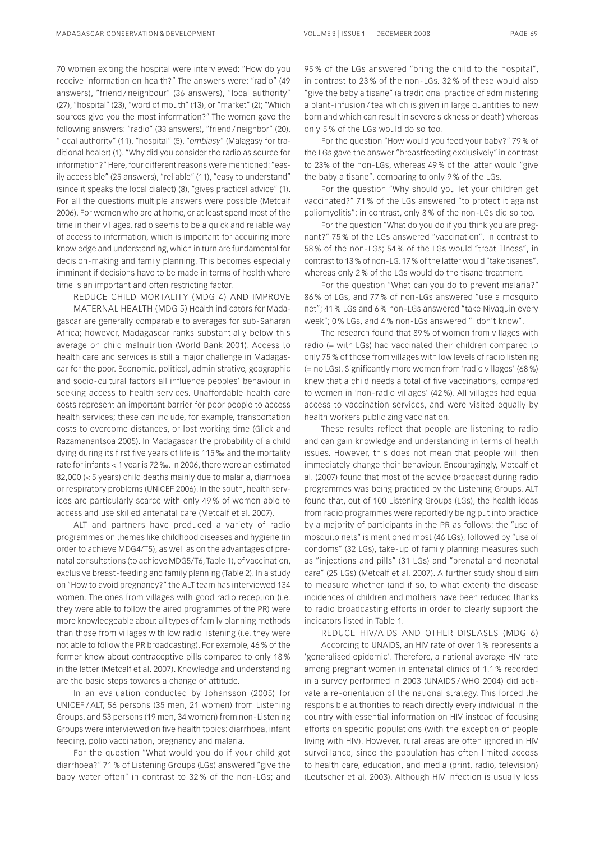70 women exiting the hospital were interviewed: "How do you receive information on health?" The answers were: "radio" (49 answers), "friend / neighbour" (36 answers), "local authority" (27), "hospital" (23), "word of mouth" (13), or "market" (2); "Which sources give you the most information?" The women gave the following answers: "radio" (33 answers), "friend / neighbor" (20), "local authority" (11), "hospital" (5), "*ombiasy*" (Malagasy for traditional healer) (1). "Why did you consider the radio as source for information?" Here, four different reasons were mentioned: "easily accessible" (25 answers), "reliable" (11), "easy to understand" (since it speaks the local dialect) (8), "gives practical advice" (1). For all the questions multiple answers were possible (Metcalf 2006). For women who are at home, or at least spend most of the time in their villages, radio seems to be a quick and reliable way of access to information, which is important for acquiring more knowledge and understanding, which in turn are fundamental for decision-making and family planning. This becomes especially imminent if decisions have to be made in terms of health where time is an important and often restricting factor.

REDUCE CHILD MORTALITY (MDG 4) AND IMPROVE MATERNAL HEALTH (MDG 5) Health indicators for Madagascar are generally comparable to averages for sub - Saharan Africa; however, Madagascar ranks substantially below this average on child malnutrition (World Bank 2001). Access to health care and services is still a major challenge in Madagascar for the poor. Economic, political, administrative, geographic and socio - cultural factors all influence peoples' behaviour in seeking access to health services. Unaffordable health care costs represent an important barrier for poor people to access health services; these can include, for example, transportation costs to overcome distances, or lost working time (Glick and Razamanantsoa 2005). In Madagascar the probability of a child dying during its first five years of life is 115 ‰ and the mortality rate for infants < 1 year is 72 ‰. In 2006, there were an estimated 82,000 (< 5 years) child deaths mainly due to malaria, diarrhoea or respiratory problems (UNICEF 2006). In the south, health services are particularly scarce with only 49 % of women able to access and use skilled antenatal care (Metcalf et al. 2007).

ALT and partners have produced a variety of radio programmes on themes like childhood diseases and hygiene (in order to achieve MDG4/T5), as well as on the advantages of prenatal consultations (to achieve MDG5/T6, Table 1), of vaccination, exclusive breast - feeding and family planning (Table 2). In a study on "How to avoid pregnancy?" the ALT team has interviewed 134 women. The ones from villages with good radio reception (i.e. they were able to follow the aired programmes of the PR) were more knowledgeable about all types of family planning methods than those from villages with low radio listening (i.e. they were not able to follow the PR broadcasting). For example, 46 % of the former knew about contraceptive pills compared to only 18 % in the latter (Metcalf et al. 2007). Knowledge and understanding are the basic steps towards a change of attitude.

In an evaluation conducted by Johansson (2005) for UNICEF / ALT, 56 persons (35 men, 21 women) from Listening Groups, and 53 persons (19 men, 34 women) from non - Listening Groups were interviewed on five health topics: diarrhoea, infant feeding, polio vaccination, pregnancy and malaria.

For the question "What would you do if your child got diarrhoea?" 71 % of Listening Groups (LGs) answered "give the baby water often" in contrast to 32 % of the non - LGs; and 95 % of the LGs answered "bring the child to the hospital", in contrast to 23 % of the non - LGs. 32 % of these would also "give the baby a tisane" (a traditional practice of administering a plant - infusion / tea which is given in large quantities to new born and which can result in severe sickness or death) whereas only 5 % of the LGs would do so too.

For the question "How would you feed your baby?" 79 % of the LGs gave the answer "breastfeeding exclusively" in contrast to 23% of the non-LGs, whereas 49% of the latter would "give the baby a tisane", comparing to only 9 % of the LGs.

For the question "Why should you let your children get vaccinated?" 71 % of the LGs answered "to protect it against poliomyelitis"; in contrast, only 8% of the non-LGs did so too.

For the question "What do you do if you think you are pregnant?" 75 % of the LGs answered "vaccination", in contrast to 58% of the non-LGs; 54% of the LGs would "treat illness", in contrast to 13 % of non - LG. 17 % of the latter would "take tisanes", whereas only 2 % of the LGs would do the tisane treatment.

For the question "What can you do to prevent malaria?" 86 % of LGs, and 77 % of non - LGs answered "use a mosquito net"; 41 % LGs and 6 % non - LGs answered "take Nivaquin every week"; 0 % LGs, and 4 % non - LGs answered "I don't know".

The research found that 89 % of women from villages with radio (= with LGs) had vaccinated their children compared to only 75 % of those from villages with low levels of radio listening (= no LGs). Significantly more women from 'radio villages' (68 %) knew that a child needs a total of five vaccinations, compared to women in 'non - radio villages' (42 %). All villages had equal access to vaccination services, and were visited equally by health workers publicizing vaccination.

These results reflect that people are listening to radio and can gain knowledge and understanding in terms of health issues. However, this does not mean that people will then immediately change their behaviour. Encouragingly, Metcalf et al. (2007) found that most of the advice broadcast during radio programmes was being practiced by the Listening Groups. ALT found that, out of 100 Listening Groups (LGs), the health ideas from radio programmes were reportedly being put into practice by a majority of participants in the PR as follows: the "use of mosquito nets" is mentioned most (46 LGs), followed by "use of condoms" (32 LGs), take - up of family planning measures such as "injections and pills" (31 LGs) and "prenatal and neonatal care" (25 LGs) (Metcalf et al. 2007). A further study should aim to measure whether (and if so, to what extent) the disease incidences of children and mothers have been reduced thanks to radio broadcasting efforts in order to clearly support the indicators listed in Table 1.

REDUCE HIV/AIDS AND OTHER DISEASES (MDG 6)

According to UNAIDS, an HIV rate of over 1 % represents a 'generalised epidemic'. Therefore, a national average HIV rate among pregnant women in antenatal clinics of 1.1 % recorded in a survey performed in 2003 (UNAIDS / WHO 2004) did activate a re - orientation of the national strategy. This forced the responsible authorities to reach directly every individual in the country with essential information on HIV instead of focusing efforts on specific populations (with the exception of people living with HIV). However, rural areas are often ignored in HIV surveillance, since the population has often limited access to health care, education, and media (print, radio, television) (Leutscher et al. 2003). Although HIV infection is usually less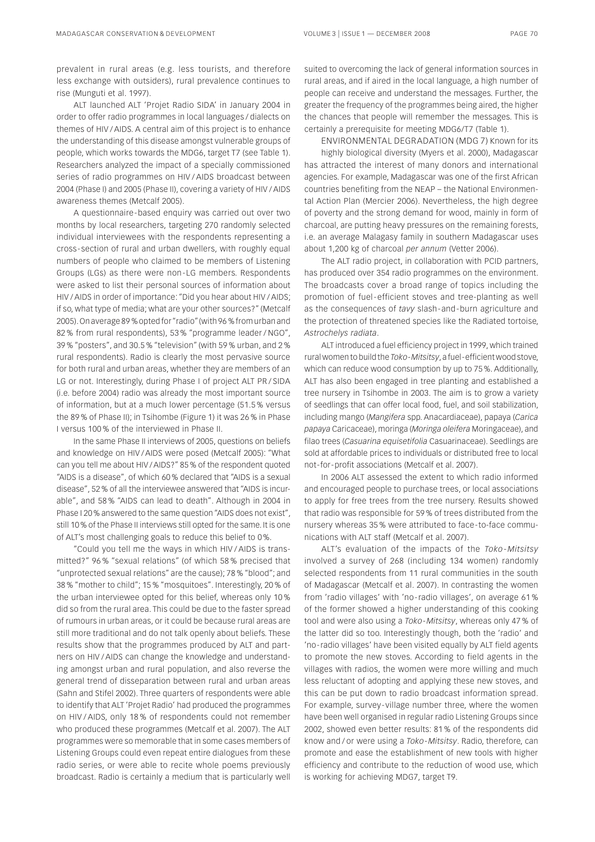prevalent in rural areas (e.g. less tourists, and therefore less exchange with outsiders), rural prevalence continues to rise (Munguti et al. 1997).

ALT launched ALT 'Projet Radio SIDA' in January 2004 in order to offer radio programmes in local languages / dialects on themes of HIV / AIDS. A central aim of this project is to enhance the understanding of this disease amongst vulnerable groups of people, which works towards the MDG6, target T7 (see Table 1). Researchers analyzed the impact of a specially commissioned series of radio programmes on HIV / AIDS broadcast between 2004 (Phase I) and 2005 (Phase II), covering a variety of HIV / AIDS awareness themes (Metcalf 2005).

A questionnaire - based enquiry was carried out over two months by local researchers, targeting 270 randomly selected individual interviewees with the respondents representing a cross - section of rural and urban dwellers, with roughly equal numbers of people who claimed to be members of Listening Groups (LGs) as there were non - LG members. Respondents were asked to list their personal sources of information about HIV / AIDS in order of importance: "Did you hear about HIV / AIDS; if so, what type of media; what are your other sources?" (Metcalf 2005). On average 89 % opted for "radio" (with 96 % from urban and 82 % from rural respondents), 53 % "programme leader / NGO", 39 % "posters", and 30.5 % "television" (with 59 % urban, and 2 % rural respondents). Radio is clearly the most pervasive source for both rural and urban areas, whether they are members of an LG or not. Interestingly, during Phase I of project ALT PR / SIDA (i.e. before 2004) radio was already the most important source of information, but at a much lower percentage (51.5 % versus the 89 % of Phase II); in Tsihombe (Figure 1) it was 26 % in Phase I versus 100 % of the interviewed in Phase II.

In the same Phase II interviews of 2005, questions on beliefs and knowledge on HIV / AIDS were posed (Metcalf 2005): "What can you tell me about HIV / AIDS?" 85 % of the respondent quoted "AIDS is a disease", of which 60 % declared that "AIDS is a sexual disease", 52 % of all the interviewee answered that "AIDS is incurable", and 58 % "AIDS can lead to death". Although in 2004 in Phase I 20 % answered to the same question "AIDS does not exist", still 10 % of the Phase II interviews still opted for the same. It is one of ALT's most challenging goals to reduce this belief to 0 %.

"Could you tell me the ways in which HIV / AIDS is transmitted?" 96 % "sexual relations" (of which 58 % precised that "unprotected sexual relations" are the cause); 78 % "blood"; and 38 % "mother to child"; 15 % "mosquitoes". Interestingly, 20 % of the urban interviewee opted for this belief, whereas only 10 % did so from the rural area. This could be due to the faster spread of rumours in urban areas, or it could be because rural areas are still more traditional and do not talk openly about beliefs. These results show that the programmes produced by ALT and partners on HIV / AIDS can change the knowledge and understanding amongst urban and rural population, and also reverse the general trend of disseparation between rural and urban areas (Sahn and Stifel 2002). Three quarters of respondents were able to identify that ALT 'Projet Radio' had produced the programmes on HIV / AIDS, only 18 % of respondents could not remember who produced these programmes (Metcalf et al. 2007). The ALT programmes were so memorable that in some cases members of Listening Groups could even repeat entire dialogues from these radio series, or were able to recite whole poems previously broadcast. Radio is certainly a medium that is particularly well

suited to overcoming the lack of general information sources in rural areas, and if aired in the local language, a high number of people can receive and understand the messages. Further, the greater the frequency of the programmes being aired, the higher the chances that people will remember the messages. This is certainly a prerequisite for meeting MDG6/T7 (Table 1).

ENVIRONMENTAL DEGRADATION (MDG 7) Known for its

highly biological diversity (Myers et al. 2000), Madagascar has attracted the interest of many donors and international agencies. For example, Madagascar was one of the first African countries benefiting from the NEAP – the National Environmental Action Plan (Mercier 2006). Nevertheless, the high degree of poverty and the strong demand for wood, mainly in form of charcoal, are putting heavy pressures on the remaining forests, i.e. an average Malagasy family in southern Madagascar uses about 1,200 kg of charcoal *per annum* (Vetter 2006).

The ALT radio project, in collaboration with PCID partners, has produced over 354 radio programmes on the environment. The broadcasts cover a broad range of topics including the promotion of fuel - efficient stoves and tree-planting as well as the consequences of *tavy* slash - and - burn agriculture and the protection of threatened species like the Radiated tortoise, *Astrochelys radiata*.

ALT introduced a fuel efficiency project in 1999, which trained rural women to build the *Toko - Mitsitsy*, a fuel - efficient wood stove, which can reduce wood consumption by up to 75 %. Additionally, ALT has also been engaged in tree planting and established a tree nursery in Tsihombe in 2003. The aim is to grow a variety of seedlings that can offer local food, fuel, and soil stabilization, including mango (*Mangifera* spp. Anacardiaceae), papaya (*Carica papaya* Caricaceae), moringa (*Moringa oleifera* Moringaceae), and filao trees (*Casuarina equisetifolia* Casuarinaceae). Seedlings are sold at affordable prices to individuals or distributed free to local not - for - profit associations (Metcalf et al. 2007).

In 2006 ALT assessed the extent to which radio informed and encouraged people to purchase trees, or local associations to apply for free trees from the tree nursery. Results showed that radio was responsible for 59 % of trees distributed from the nursery whereas 35 % were attributed to face - to-face communications with ALT staff (Metcalf et al. 2007).

ALT's evaluation of the impacts of the *Toko - Mitsitsy* involved a survey of 268 (including 134 women) randomly selected respondents from 11 rural communities in the south of Madagascar (Metcalf et al. 2007). In contrasting the women from 'radio villages' with 'no - radio villages', on average 61 % of the former showed a higher understanding of this cooking tool and were also using a *Toko - Mitsitsy*, whereas only 47 % of the latter did so too. Interestingly though, both the 'radio' and 'no - radio villages' have been visited equally by ALT field agents to promote the new stoves. According to field agents in the villages with radios, the women were more willing and much less reluctant of adopting and applying these new stoves, and this can be put down to radio broadcast information spread. For example, survey - village number three, where the women have been well organised in regular radio Listening Groups since 2002, showed even better results: 81 % of the respondents did know and / or were using a *Toko - Mitsitsy*. Radio, therefore, can promote and ease the establishment of new tools with higher efficiency and contribute to the reduction of wood use, which is working for achieving MDG7, target T9.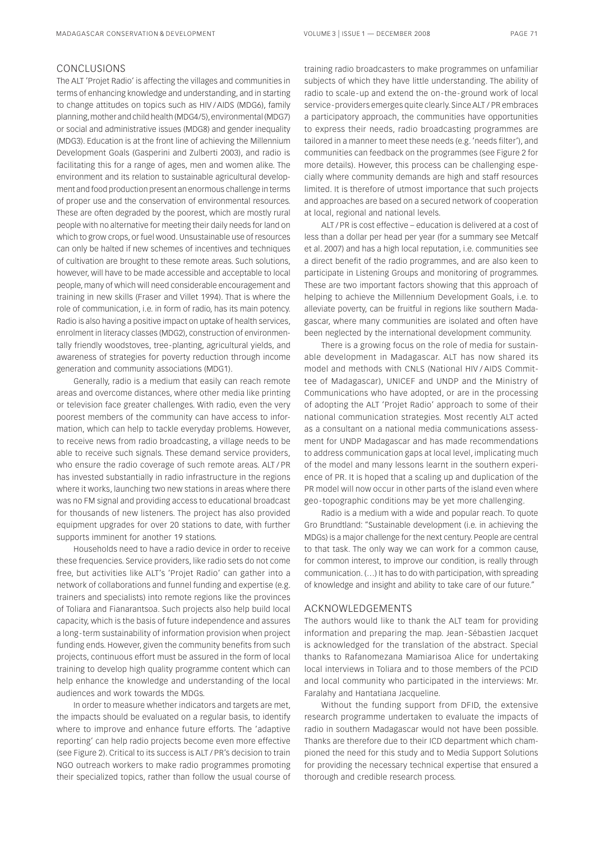## CONCLUSIONS

The ALT 'Projet Radio' is affecting the villages and communities in terms of enhancing knowledge and understanding, and in starting to change attitudes on topics such as HIV / AIDS (MDG6), family planning, mother and child health (MDG4/5), environmental (MDG7) or social and administrative issues (MDG8) and gender inequality (MDG3). Education is at the front line of achieving the Millennium Development Goals (Gasperini and Zulberti 2003), and radio is facilitating this for a range of ages, men and women alike. The environment and its relation to sustainable agricultural development and food production present an enormous challenge in terms of proper use and the conservation of environmental resources. These are often degraded by the poorest, which are mostly rural people with no alternative for meeting their daily needs for land on which to grow crops, or fuel wood. Unsustainable use of resources can only be halted if new schemes of incentives and techniques of cultivation are brought to these remote areas. Such solutions, however, will have to be made accessible and acceptable to local people, many of which will need considerable encouragement and training in new skills (Fraser and Villet 1994). That is where the role of communication, i.e. in form of radio, has its main potency. Radio is also having a positive impact on uptake of health services, enrolment in literacy classes (MDG2), construction of environmentally friendly woodstoves, tree - planting, agricultural yields, and awareness of strategies for poverty reduction through income generation and community associations (MDG1).

Generally, radio is a medium that easily can reach remote areas and overcome distances, where other media like printing or television face greater challenges. With radio, even the very poorest members of the community can have access to information, which can help to tackle everyday problems. However, to receive news from radio broadcasting, a village needs to be able to receive such signals. These demand service providers, who ensure the radio coverage of such remote areas. ALT / PR has invested substantially in radio infrastructure in the regions where it works, launching two new stations in areas where there was no FM signal and providing access to educational broadcast for thousands of new listeners. The project has also provided equipment upgrades for over 20 stations to date, with further supports imminent for another 19 stations.

Households need to have a radio device in order to receive these frequencies. Service providers, like radio sets do not come free, but activities like ALT's 'Projet Radio' can gather into a network of collaborations and funnel funding and expertise (e.g. trainers and specialists) into remote regions like the provinces of Toliara and Fianarantsoa. Such projects also help build local capacity, which is the basis of future independence and assures a long - term sustainability of information provision when project funding ends. However, given the community benefits from such projects, continuous effort must be assured in the form of local training to develop high quality programme content which can help enhance the knowledge and understanding of the local audiences and work towards the MDGs.

In order to measure whether indicators and targets are met, the impacts should be evaluated on a regular basis, to identify where to improve and enhance future efforts. The 'adaptive reporting' can help radio projects become even more effective (see Figure 2). Critical to its success is ALT / PR's decision to train NGO outreach workers to make radio programmes promoting their specialized topics, rather than follow the usual course of

training radio broadcasters to make programmes on unfamiliar subjects of which they have little understanding. The ability of radio to scale - up and extend the on - the - ground work of local service - providers emerges quite clearly. Since ALT / PR embraces a participatory approach, the communities have opportunities to express their needs, radio broadcasting programmes are tailored in a manner to meet these needs (e.g. 'needs filter'), and communities can feedback on the programmes (see Figure 2 for more details). However, this process can be challenging especially where community demands are high and staff resources limited. It is therefore of utmost importance that such projects and approaches are based on a secured network of cooperation at local, regional and national levels.

ALT / PR is cost effective – education is delivered at a cost of less than a dollar per head per year (for a summary see Metcalf et al. 2007) and has a high local reputation, i.e. communities see a direct benefit of the radio programmes, and are also keen to participate in Listening Groups and monitoring of programmes. These are two important factors showing that this approach of helping to achieve the Millennium Development Goals, i.e. to alleviate poverty, can be fruitful in regions like southern Madagascar, where many communities are isolated and often have been neglected by the international development community.

There is a growing focus on the role of media for sustainable development in Madagascar. ALT has now shared its model and methods with CNLS (National HIV / AIDS Committee of Madagascar), UNICEF and UNDP and the Ministry of Communications who have adopted, or are in the processing of adopting the ALT 'Projet Radio' approach to some of their national communication strategies. Most recently ALT acted as a consultant on a national media communications assessment for UNDP Madagascar and has made recommendations to address communication gaps at local level, implicating much of the model and many lessons learnt in the southern experience of PR. It is hoped that a scaling up and duplication of the PR model will now occur in other parts of the island even where geo - topographic conditions may be yet more challenging.

Radio is a medium with a wide and popular reach. To quote Gro Brundtland: "Sustainable development (i.e. in achieving the MDGs) is a major challenge for the next century. People are central to that task. The only way we can work for a common cause, for common interest, to improve our condition, is really through communication. (…) It has to do with participation, with spreading of knowledge and insight and ability to take care of our future."

## ACKNOWLEDGEMENTS

The authors would like to thank the ALT team for providing information and preparing the map. Jean - Sébastien Jacquet is acknowledged for the translation of the abstract. Special thanks to Rafanomezana Mamiarisoa Alice for undertaking local interviews in Toliara and to those members of the PCID and local community who participated in the interviews: Mr. Faralahy and Hantatiana Jacqueline.

Without the funding support from DFID, the extensive research programme undertaken to evaluate the impacts of radio in southern Madagascar would not have been possible. Thanks are therefore due to their ICD department which championed the need for this study and to Media Support Solutions for providing the necessary technical expertise that ensured a thorough and credible research process.